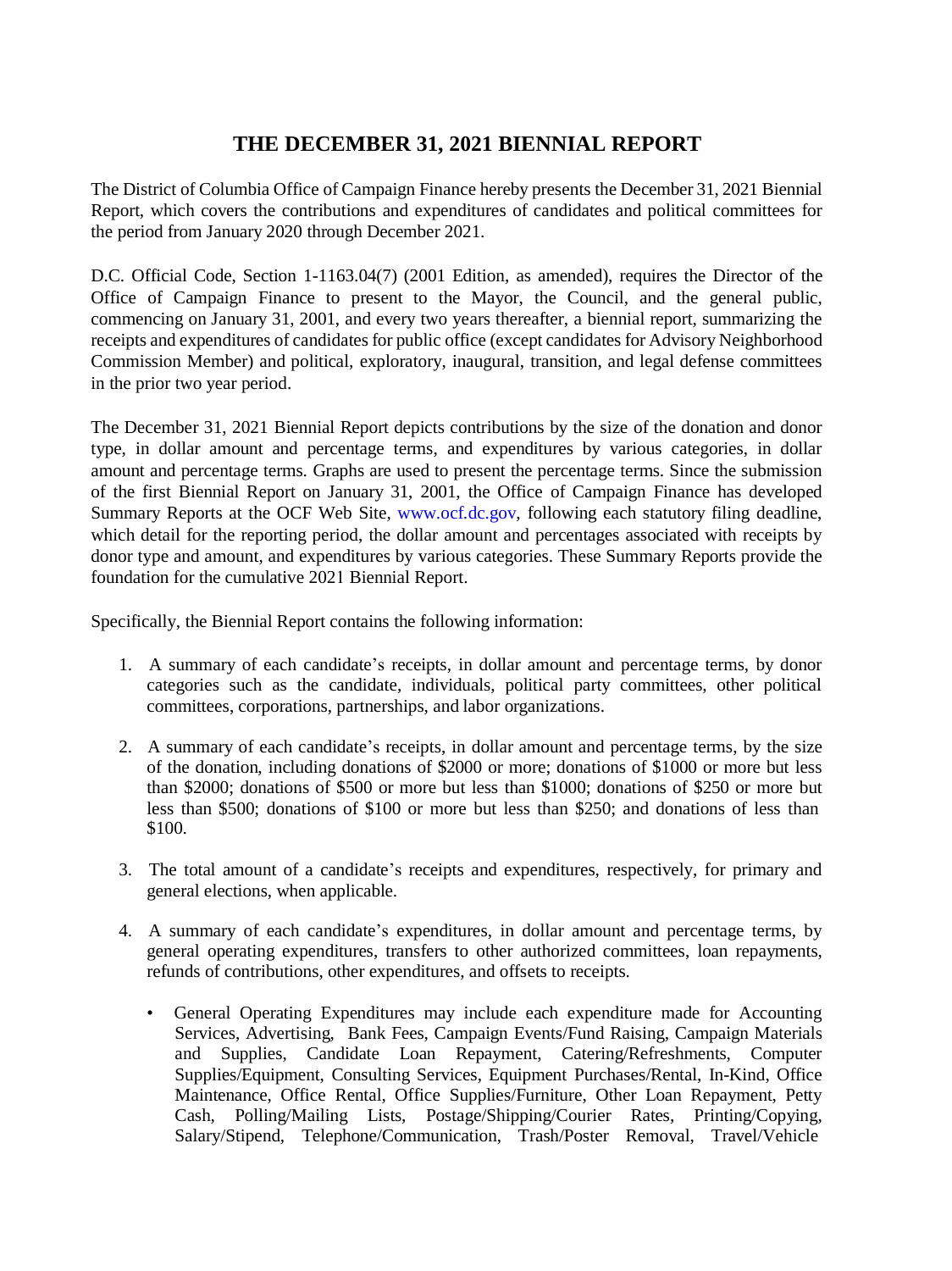## **THE DECEMBER 31, 2021 BIENNIAL REPORT**

The District of Columbia Office of Campaign Finance hereby presents the December 31, 2021 Biennial Report, which covers the contributions and expenditures of candidates and political committees for the period from January 2020 through December 2021.

D.C. Official Code, Section 1-1163.04(7) (2001 Edition, as amended), requires the Director of the Office of Campaign Finance to present to the Mayor, the Council, and the general public, commencing on January 31, 2001, and every two years thereafter, a biennial report, summarizing the receipts and expenditures of candidates for public office (except candidates for Advisory Neighborhood Commission Member) and political, exploratory, inaugural, transition, and legal defense committees in the prior two year period.

The December 31, 2021 Biennial Report depicts contributions by the size of the donation and donor type, in dollar amount and percentage terms, and expenditures by various categories, in dollar amount and percentage terms. Graphs are used to present the percentage terms. Since the submission of the first Biennial Report on January 31, 2001, the Office of Campaign Finance has developed Summary Reports at the OCF Web Site, [www.ocf.dc.gov](http://www.ocf.dc.gov/), following each statutory filing deadline, which detail for the reporting period, the dollar amount and percentages associated with receipts by donor type and amount, and expenditures by various categories. These Summary Reports provide the foundation for the cumulative 2021 Biennial Report.

Specifically, the Biennial Report contains the following information:

- 1. A summary of each candidate's receipts, in dollar amount and percentage terms, by donor categories such as the candidate, individuals, political party committees, other political committees, corporations, partnerships, and labor organizations.
- 2. A summary of each candidate's receipts, in dollar amount and percentage terms, by the size of the donation, including donations of \$2000 or more; donations of \$1000 or more but less than \$2000; donations of \$500 or more but less than \$1000; donations of \$250 or more but less than \$500; donations of \$100 or more but less than \$250; and donations of less than \$100.
- 3. The total amount of a candidate's receipts and expenditures, respectively, for primary and general elections, when applicable.
- 4. A summary of each candidate's expenditures, in dollar amount and percentage terms, by general operating expenditures, transfers to other authorized committees, loan repayments, refunds of contributions, other expenditures, and offsets to receipts.
	- General Operating Expenditures may include each expenditure made for Accounting Services, Advertising, Bank Fees, Campaign Events/Fund Raising, Campaign Materials and Supplies, Candidate Loan Repayment, Catering/Refreshments, Computer Supplies/Equipment, Consulting Services, Equipment Purchases/Rental, In-Kind, Office Maintenance, Office Rental, Office Supplies/Furniture, Other Loan Repayment, Petty Cash, Polling/Mailing Lists, Postage/Shipping/Courier Rates, Printing/Copying, Salary/Stipend, Telephone/Communication, Trash/Poster Removal, Travel/Vehicle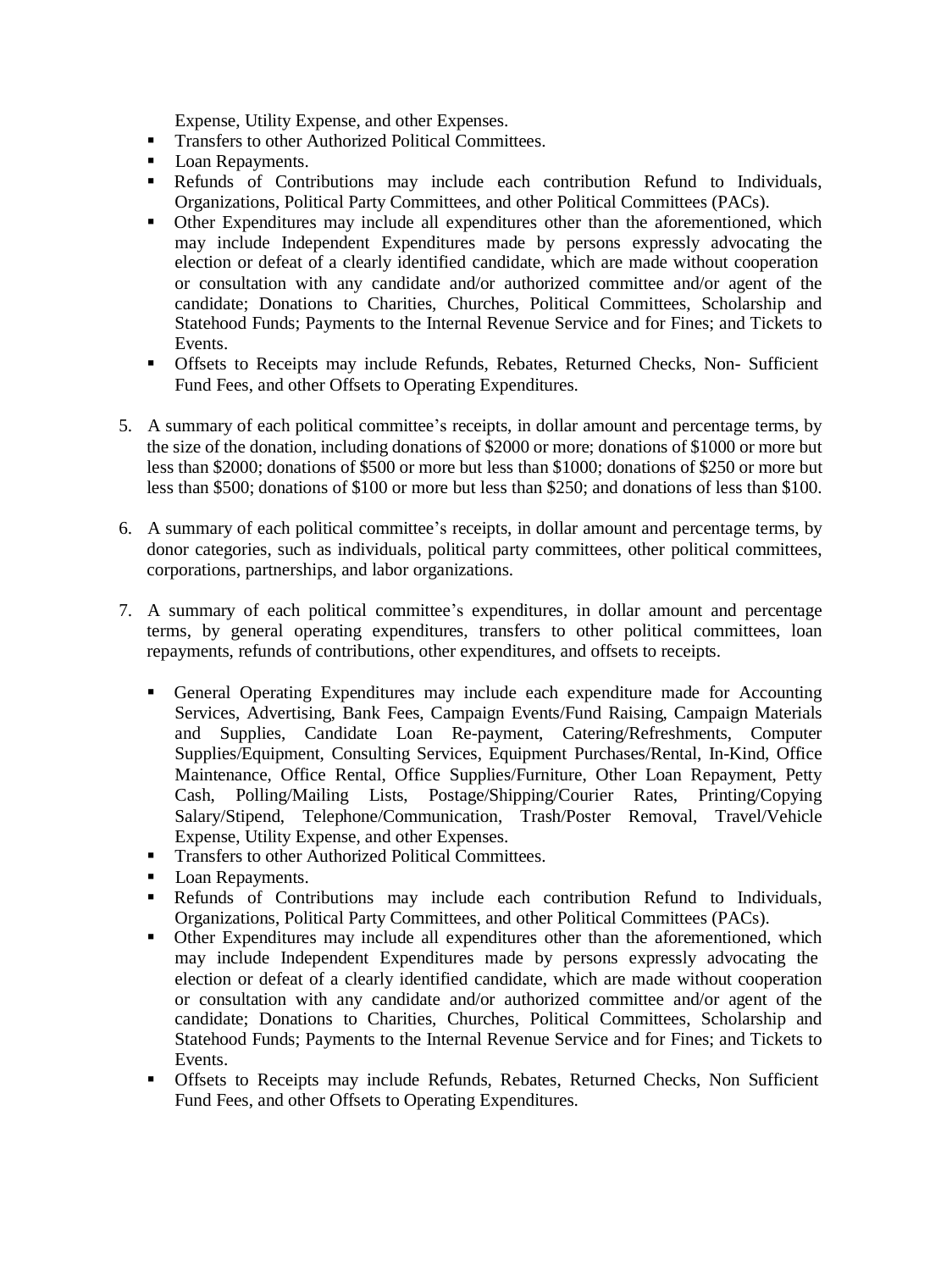Expense, Utility Expense, and other Expenses.

- Transfers to other Authorized Political Committees.
- Loan Repayments.
- **EXECUTE:** Refunds of Contributions may include each contribution Refund to Individuals, Organizations, Political Party Committees, and other Political Committees (PACs).
- Other Expenditures may include all expenditures other than the aforementioned, which may include Independent Expenditures made by persons expressly advocating the election or defeat of a clearly identified candidate, which are made without cooperation or consultation with any candidate and/or authorized committee and/or agent of the candidate; Donations to Charities, Churches, Political Committees, Scholarship and Statehood Funds; Payments to the Internal Revenue Service and for Fines; and Tickets to Events.
- Offsets to Receipts may include Refunds, Rebates, Returned Checks, Non- Sufficient Fund Fees, and other Offsets to Operating Expenditures.
- 5. A summary of each political committee's receipts, in dollar amount and percentage terms, by the size of the donation, including donations of \$2000 or more; donations of \$1000 or more but less than \$2000; donations of \$500 or more but less than \$1000; donations of \$250 or more but less than \$500; donations of \$100 or more but less than \$250; and donations of less than \$100.
- 6. A summary of each political committee's receipts, in dollar amount and percentage terms, by donor categories, such as individuals, political party committees, other political committees, corporations, partnerships, and labor organizations.
- 7. A summary of each political committee's expenditures, in dollar amount and percentage terms, by general operating expenditures, transfers to other political committees, loan repayments, refunds of contributions, other expenditures, and offsets to receipts.
	- General Operating Expenditures may include each expenditure made for Accounting Services, Advertising, Bank Fees, Campaign Events/Fund Raising, Campaign Materials and Supplies, Candidate Loan Re-payment, Catering/Refreshments, Computer Supplies/Equipment, Consulting Services, Equipment Purchases/Rental, In-Kind, Office Maintenance, Office Rental, Office Supplies/Furniture, Other Loan Repayment, Petty Cash, Polling/Mailing Lists, Postage/Shipping/Courier Rates, Printing/Copying Salary/Stipend, Telephone/Communication, Trash/Poster Removal, Travel/Vehicle Expense, Utility Expense, and other Expenses.
	- **Transfers to other Authorized Political Committees.**
	- Loan Repayments.
	- Refunds of Contributions may include each contribution Refund to Individuals, Organizations, Political Party Committees, and other Political Committees (PACs).
	- Other Expenditures may include all expenditures other than the aforementioned, which may include Independent Expenditures made by persons expressly advocating the election or defeat of a clearly identified candidate, which are made without cooperation or consultation with any candidate and/or authorized committee and/or agent of the candidate; Donations to Charities, Churches, Political Committees, Scholarship and Statehood Funds; Payments to the Internal Revenue Service and for Fines; and Tickets to Events.
	- Offsets to Receipts may include Refunds, Rebates, Returned Checks, Non Sufficient Fund Fees, and other Offsets to Operating Expenditures.